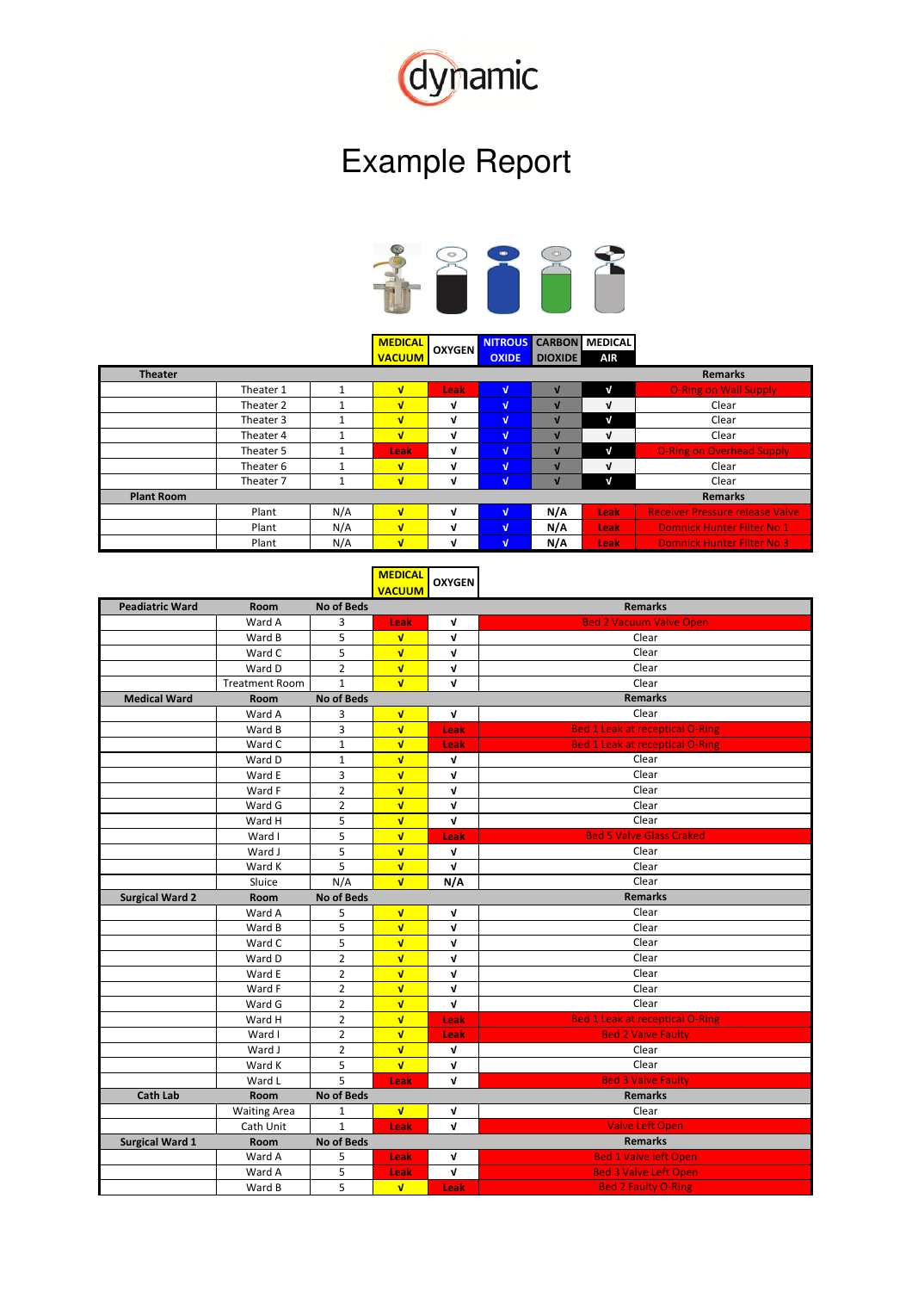

## Example Report



**MEDICAL NITROUS CARBON MEDICAL VACUUM OXIDE DIOXIDE AIR OXYGEN**

| <b>Theater</b>    |           |     |      |      |   |     |             | <b>Remarks</b>                         |
|-------------------|-----------|-----|------|------|---|-----|-------------|----------------------------------------|
|                   | Theater 1 |     | v    | Leak | v |     | V           | <b>O-Ring on Wall Supply</b>           |
|                   | Theater 2 |     | v    | v    | v |     | V           | Clear                                  |
|                   | Theater 3 |     | v    | v    | v |     | $\sqrt{ }$  | Clear                                  |
|                   | Theater 4 |     | v    | V    | V |     | V           | Clear                                  |
|                   | Theater 5 |     | Leak | v    | v |     | V           | <b>O-Ring on Overhead Supply</b>       |
|                   | Theater 6 |     | v    | M    | v |     | V           | Clear                                  |
|                   | Theater 7 |     | v    | M    | v |     | V           | Clear                                  |
| <b>Plant Room</b> |           |     |      |      |   |     |             | <b>Remarks</b>                         |
|                   | Plant     | N/A | v    | v    | v | N/A | <b>Leak</b> | <b>Receiver Pressure release Valve</b> |
|                   | Plant     | N/A | v    | v    | v | N/A | Leak        | <b>Domnick Hunter Filter No 1</b>      |
|                   | Plant     | N/A | v    | ν    | v | N/A | <b>Leak</b> | <b>Domnick Hunter Filter No 3</b>      |

**MEDICAL VACUUM OXYGEN**

| <b>Peadiatric Ward</b> | Room                  | <b>No of Beds</b> |                         |              | <b>Remarks</b>                         |
|------------------------|-----------------------|-------------------|-------------------------|--------------|----------------------------------------|
|                        | Ward A                | 3                 | Leak                    | V            | <b>Bed 2 Vacuum Valve Open</b>         |
|                        | Ward B                | 5                 | $\sqrt{ }$              | $\mathbf v$  | Clear                                  |
|                        | Ward C                | 5                 | $\overline{\mathbf{v}}$ | V            | Clear                                  |
|                        | Ward D                | $\overline{2}$    | $\overline{\mathbf{v}}$ | V            | Clear                                  |
|                        | <b>Treatment Room</b> | $\mathbf{1}$      | $\overline{\mathbf{v}}$ | $\mathbf v$  | Clear                                  |
| <b>Medical Ward</b>    | <b>Room</b>           | <b>No of Beds</b> |                         |              | <b>Remarks</b>                         |
|                        | Ward A                | 3                 | $\sqrt{ }$              | V            | Clear                                  |
|                        | Ward B                | 3                 | $\sqrt{ }$              | Leak         | <b>Bed 1 Leak at receptical O-Ring</b> |
|                        | Ward C                | $\mathbf 1$       | $\sqrt{ }$              | Leak         | <b>Bed 1 Leak at receptical O-Ring</b> |
|                        | Ward D                | $\mathbf{1}$      | $\overline{\mathbf{v}}$ | V            | Clear                                  |
|                        | Ward E                | 3                 | $\sqrt{ }$              | V            | Clear                                  |
|                        | Ward F                | $\overline{2}$    | $\overline{\mathbf{v}}$ | V            | Clear                                  |
|                        | Ward G                | $\overline{2}$    | $\sqrt{ }$              | V            | Clear                                  |
|                        | Ward H                | 5                 | $\overline{\mathbf{v}}$ | $\mathbf v$  | Clear                                  |
|                        | Ward I                | 5                 | $\overline{\mathbf{v}}$ | Leak         | <b>Bed 5 Valve Glass Craked</b>        |
|                        | Ward J                | 5                 | $\overline{\mathbf{v}}$ | V            | Clear                                  |
|                        | Ward K                | 5                 | $\overline{\mathbf{v}}$ | $\mathbf{v}$ | Clear                                  |
|                        | Sluice                | N/A               | $\overline{\mathbf{v}}$ | N/A          | Clear                                  |
| <b>Surgical Ward 2</b> | Room                  | <b>No of Beds</b> |                         |              | <b>Remarks</b>                         |
|                        | Ward A                | 5                 | $\sqrt{ }$              | Λ            | Clear                                  |
|                        | Ward B                | 5                 | $\mathbf{v}$            | V            | Clear                                  |
|                        | Ward C                | 5                 | $\sqrt{ }$              | V            | Clear                                  |
|                        | Ward D                | $\overline{2}$    | $\sqrt{ }$              | $\mathbf v$  | Clear                                  |
|                        | Ward E                | $\overline{2}$    | $\sqrt{ }$              | $\mathbf v$  | Clear                                  |
|                        | Ward F                | $\overline{2}$    | $\overline{\mathbf{v}}$ | V            | Clear                                  |
|                        | Ward G                | $\overline{2}$    | $\overline{\mathbf{v}}$ | $\mathbf v$  | Clear                                  |
|                        | Ward H                | $\overline{2}$    | $\overline{\mathbf{v}}$ | Leak         | <b>Bed 1 Leak at receptical O-Ring</b> |
|                        | Ward I                | $\overline{2}$    | $\overline{\mathbf{v}}$ | Leak         | <b>Bed 2 Valve Faulty</b>              |
|                        | Ward J                | $\overline{2}$    | $\overline{\mathbf{v}}$ | $\mathbf v$  | Clear                                  |
|                        | Ward K                | 5                 | $\overline{\mathbf{v}}$ | $\mathbf v$  | Clear                                  |
|                        | Ward L                | 5                 | Leak                    | V            | <b>Bed 3 Valve Faulty</b>              |
| <b>Cath Lab</b>        | Room                  | <b>No of Beds</b> |                         |              | <b>Remarks</b>                         |
|                        | <b>Waiting Area</b>   | 1                 | $\sqrt{ }$              | Λ            | Clear                                  |
|                        | Cath Unit             | $\mathbf{1}$      | Leak                    | V            | <b>Valve Left Open</b>                 |
| <b>Surgical Ward 1</b> | <b>Room</b>           | <b>No of Beds</b> |                         |              | <b>Remarks</b>                         |
|                        | Ward A                | 5                 | Leak                    | V            | <b>Bed 1 Valve left Open</b>           |
|                        | Ward A                | 5                 | Leak                    | $\mathbf v$  | <b>Bed 3 Valve Left Open</b>           |
|                        | Ward B                | 5                 | $\mathbf{v}$            | Leak         | <b>Bed 2 Faulty O-Ring</b>             |